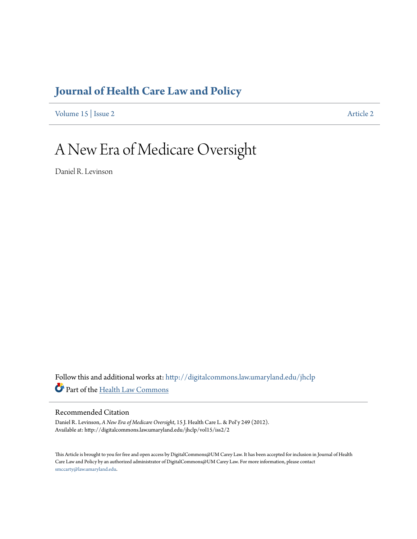## **[Journal of Health Care Law and Policy](http://digitalcommons.law.umaryland.edu/jhclp?utm_source=digitalcommons.law.umaryland.edu%2Fjhclp%2Fvol15%2Fiss2%2F2&utm_medium=PDF&utm_campaign=PDFCoverPages)**

[Volume 15](http://digitalcommons.law.umaryland.edu/jhclp/vol15?utm_source=digitalcommons.law.umaryland.edu%2Fjhclp%2Fvol15%2Fiss2%2F2&utm_medium=PDF&utm_campaign=PDFCoverPages) | [Issue 2](http://digitalcommons.law.umaryland.edu/jhclp/vol15/iss2?utm_source=digitalcommons.law.umaryland.edu%2Fjhclp%2Fvol15%2Fiss2%2F2&utm_medium=PDF&utm_campaign=PDFCoverPages) [Article 2](http://digitalcommons.law.umaryland.edu/jhclp/vol15/iss2/2?utm_source=digitalcommons.law.umaryland.edu%2Fjhclp%2Fvol15%2Fiss2%2F2&utm_medium=PDF&utm_campaign=PDFCoverPages)

# A New Era of Medicare Oversight

Daniel R. Levinson

Follow this and additional works at: [http://digitalcommons.law.umaryland.edu/jhclp](http://digitalcommons.law.umaryland.edu/jhclp?utm_source=digitalcommons.law.umaryland.edu%2Fjhclp%2Fvol15%2Fiss2%2F2&utm_medium=PDF&utm_campaign=PDFCoverPages) Part of the [Health Law Commons](http://network.bepress.com/hgg/discipline/901?utm_source=digitalcommons.law.umaryland.edu%2Fjhclp%2Fvol15%2Fiss2%2F2&utm_medium=PDF&utm_campaign=PDFCoverPages)

### Recommended Citation

Daniel R. Levinson, *A New Era of Medicare Oversight*, 15 J. Health Care L. & Pol'y 249 (2012). Available at: http://digitalcommons.law.umaryland.edu/jhclp/vol15/iss2/2

This Article is brought to you for free and open access by DigitalCommons@UM Carey Law. It has been accepted for inclusion in Journal of Health Care Law and Policy by an authorized administrator of DigitalCommons@UM Carey Law. For more information, please contact [smccarty@law.umaryland.edu.](mailto:smccarty@law.umaryland.edu)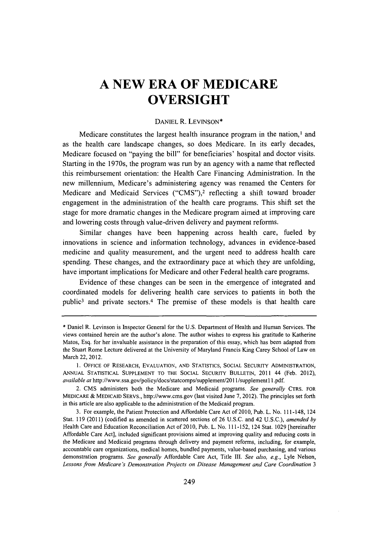## **A NEW ERA OF MEDICARE OVERSIGHT**

#### **DANIEL** R. **LEVINSON\***

Medicare constitutes the largest health insurance program in the nation,' and as the health care landscape changes, so does Medicare. In its early decades, Medicare focused on "paying the bill" for beneficiaries' hospital and doctor visits. Starting in the 1970s, the program was run **by** an agency with a name that reflected this reimbursement orientation: the Health Care Financing Administration. In the new millennium, Medicare's administering agency was renamed the Centers for Medicare and Medicaid Services **("CMS"),2** reflecting a shift toward broader engagement in the administration of the health care programs. This shift set the stage for more dramatic changes in the Medicare program aimed at improving care and lowering costs through value-driven delivery and payment reforms.

Similar changes have been happening across health care, fueled **by** innovations in science and information technology, advances in evidence-based medicine and quality measurement, and the urgent need to address health care spending. These changes, and the extraordinary pace at which they are unfolding, have important implications for Medicare and other Federal health care programs.

Evidence of these changes can be seen in the emergence of integrated and coordinated models for delivering health care services to patients in both the public<sup>3</sup> and private sectors.<sup>4</sup> The premise of these models is that health care

**<sup>\*</sup>** Daniel R. Levinson is Inspector General for the **U.S.** Department of Health and Human Services. The views contained herein are the author's alone. The author wishes to express his gratitude to Katherine Matos, Esq. for her invaluable assistance in the preparation of this essay, which has been adapted from the Stuart Rome Lecture delivered at the University of Maryland Francis King Carey School of Law on March 22, 2012.

**<sup>1.</sup> OFFICE** OF RESEARCH, EVALUATION, **AND STATISTICS, SOCIAL SECURITY** ADMINISTRATION, **ANNUAL STATISTICAL SUPPLEMENT** TO THE **SOCIAL** SECURITY BULLETIN, 2011 44 (Feb. 2012), *available at* http://www.ssa.gov/policy/docs/statcomps/supplement/20 1/supplement 11 **.pdf.**

<sup>2.</sup> **CMS** administers both the Medicare and Medicaid programs. *See generally* **CTRS. FOR MEDICARE & MEDICAID** SERVs., http://www.cms.gov (last visited June **7,** 2012). The principles set forth in this article are also applicable to the administration of the Medicaid program.

**<sup>3.</sup>** For example, the Patient Protection and Affordable Care Act of 2010, Pub. L. No. 111-148, 124 Stat. **119** (2011) (codified as amended in scattered sections of **26 U.S.C.** and 42 **U.S.C.),** *amended by* Health Care and Education Reconciliation Act of 2010, Pub. L. No. **111-152,** 124 Stat. **1029** [hereinafter Affordable Care Act], included significant provisions aimed at improving quality and reducing costs in the Medicare and Medicaid programs through delivery and payment reforms, including, for example, accountable care organizations, medical homes, bundled payments, value-based purchasing, and various demonstration programs. *See generally* Affordable Care Act, Title Ill. *See also, e.g.,* Lyle Nelson, *Lessons from Medicare's Demonstration Projects on Disease Management and Care Coordination 3*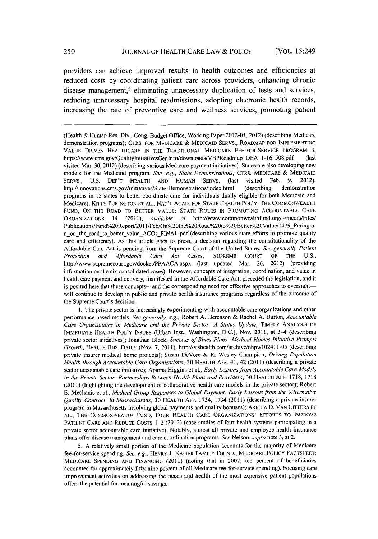providers can achieve improved results in health outcomes and efficiencies at reduced costs **by** coordinating patient care across providers, enhancing chronic disease management,<sup>5</sup> eliminating unnecessary duplication of tests and services, reducing unnecessary hospital readmissions, adopting electronic health records, increasing the rate of preventive care and wellness services, promoting patient

(Health **&** Human Res. Div., Cong. Budget Office, Working Paper 2012-01, 2012) (describing Medicare demonstration programs); CTRS. FOR MEDICARE **&** MEDICAID SERVS., ROADMAP FOR **IMPLEMENTING VALUE** DRIVEN HEALTHCARE **IN** THE TRADITIONAL MEDICARE FEE-FOR-SERVICE PROGRAM **3,** https://www.cms.gov/QualityInitiativesGenInfo/downloads/VBPRoadmap OEA 1-16\_508.pdf (last visited Mar. **30,** 2012) (describing various Medicare payment initiatives). States are also developing new models for the Medicaid program. *See, e.g., State Demonstrations,* CTRS. **MEDICARE & MEDICAID** SERVS., **U.S.** DEP'T HEALTH **AND HUMAN** SERVS. (last visited Feb. **9,** 2012), http://innovations.cms.gov/initiatives/State-Demonstrations/index.html (describing demonstration programs in **15** states to better coordinate care for individuals dually eligible for both Medicaid and Medicare); KITTY **PURINGTON ET AL., NAT'L** ACAD. FOR **STATE** HEALTH POL'Y, THE COMMONWEALTH **FUND, ON** THE ROAD TO BETTER **VALUE:** STATE ROLES **IN** PROMOTING ACCOUNTABLE CARE **ORGANIZATIONS** 14 *(2011), available at* http://www.commonwealthfund.org/~/medialFiles/ Publications/Fund%20Report/201 1/Feb/On%20the%2ORoad%20to%20Better/o2OValue/1479\_Puringto n onthe road to better value ACOsFINAL.pdf (describing various state efforts to promote quality care and efficiency). As this article goes to press, a decision regarding the constitutionality of the Affordable Care Act is pending from the Supreme Court of the United States. *See generally Patient Protection and Affordable Care Act Cases,* **SUPREME COURT** OF THE **U.S.,** http://www.supremecourt.gov/docket/PPAACA.aspx (last updated Mar. **26,** 2012) (providing information on the six consolidated cases). However, concepts of integration, coordination, and value in health care payment and delivery, manifested in the Affordable Care Act, preceded the legislation, and it is posited here that these concepts—and the corresponding need for effective approaches to oversight will continue to develop in public and private health insurance programs regardless of the outcome of the Supreme Court's decision.

4. The private sector is increasingly experimenting with accountable care organizations and other performance based models. *See generally, e.g.,* Robert **A.** Berenson **&** Rachel **A.** Burton, *Accountable Care Organizations in Medicare and the Private Sector: A Status Update,* TIMELY **ANALYSIS** OF IMMEDIATE HEALTH POL'Y **ISSUES** (Urban Inst., Washington, **D.C.),** Nov. **2011,** at 3-4 (describing private sector initiatives); Jonathan Block, *Success of Blues Plans' Medical Homes Initiative Prompts Growth,* HEALTH BUS. DAILY (Nov. **7, 2011),** http://aishealth.com/archive/nhpwl02411-05 (describing private insurer medical home projects); Susan DeVore **&** R. Wesley Champion, *Driving Population Health through Accountable Care Organizations,* **30** HEALTH **AFF.** 41, 42 (2011) (describing a private sector accountable care initiative); Apama Higgins et al., *Early Lessons from Accountable Care Models in the Private Sector: Partnerships Between Health Plans and Providers,* **30** HEALTH **AFF. 1718, 1718** (2011) (highlighting the development of collaborative health care models in the private sector); Robert **E.** Mechanic et al., *Medical Group Responses to Global Payment: Early Lessons from the 'Alternative Quality Contract' in Massachusetts,* **30** HEALTH **AFF.** 1734, 1734 (2011) (describing a private insurer program in Massachusetts involving global payments and quality bonuses); ARICCA **D. VAN** CITTERS **ET AL.,** THE COMMONWEALTH **FUND,** FOUR HEALTH CARE ORGANIZATIONS' EFFORTS TO IMPROVE **PATIENT** CARE **AND REDUCE COSTS** 1-2 (2012) (case studies of four health systems participating in a private sector accountable care initiative). Notably, almost all private and employee health insurance plans offer disease management and care coordination programs. *See Nelson, supra* note **3,** at 2.

**5. A** relatively small portion of the Medicare population accounts for the majority of Medicare fee-for-service spending. *See, e.g.,* HENRY **J.** KAISER FAMILY FOUND., MEDICARE POLICY **FACTSHEET:** MEDICARE **SPENDING AND FINANCING** (2011) (noting **that in 2007,** ten percent of beneficiaries accounted for approximately fifty-nine percent of all Medicare fee-for-service spending). Focusing care improvement activities on addressing the needs and health of the most expensive patient populations offers the potential for meaningful savings.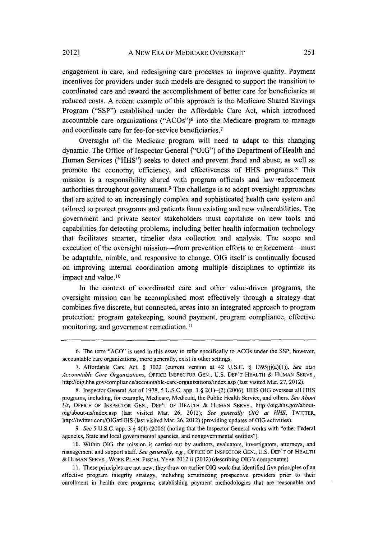engagement in care, and redesigning care processes to improve quality. Payment incentives for providers under such models are designed to support the transition to coordinated care and reward the accomplishment of better care for beneficiaries at reduced costs. **A** recent example of this approach is the Medicare Shared Savings Program **("SSP")** established under the Affordable Care Act, which introduced accountable care organizations **("ACOs") <sup>6</sup>**into the Medicare program to manage and coordinate care for fee-for-service beneficiaries. <sup>7</sup>

Oversight of the Medicare program will need to adapt to this changing dynamic. The Office of Inspector General **("OIG")** of the Department of Health and Human Services **("HHS")** seeks to detect and prevent fraud and abuse, as well as promote the economy, efficiency, and effectiveness of **HHS** programs. 8 This mission is a responsibility shared with program officials and law enforcement authorities throughout government. 9 The challenge is to adopt oversight approaches that are suited to an increasingly complex and sophisticated health care system and tailored to protect programs and patients from existing and new vulnerabilities. The government and private sector stakeholders must capitalize on new tools and capabilities for detecting problems, including better health information technology that facilitates smarter, timelier data collection and analysis. The scope and execution of the oversight mission-from prevention efforts to enforcement-must be adaptable, nimble, and responsive to change. **OIG** itself is continually focused on improving internal coordination among multiple disciplines to optimize its impact and value.<sup>10</sup>

In the context of coordinated care and other value-driven programs, the oversight mission can be accomplished most effectively through a strategy that combines five discrete, but connected, areas into an integrated approach to program protection: program gatekeeping, sound payment, program compliance, effective monitoring, and government remediation.<sup>11</sup>

**10.** Within **OIG,** the mission is carried **out by** auditors, evaluators, investigators, attorneys, and management and support staff. *See generally, e.g.,* **OFFICE** OF **INSPECTOR GEN., U.S.** DEP'T OF HEALTH **&** HUMAN SERVS., WORK **PLAN:** FISCAL YEAR 2012 ii (2012) (describing OIG's components).

**11.** These principles are not new; they draw on earlier **OIG** work that identified five principles of an effective program integrity strategy, including scrutinizing prospective providers prior to their enrollment in health care programs; establishing payment methodologies that are reasonable and

**<sup>6.</sup>** The term **"ACO"** is used in this essay to refer specifically to ACOs under the **SSP;** however, accountable care organizations, more generally, exist in other settings.

**<sup>7.</sup>** Affordable Care Act, **§ 3022** (current version at 42 **U.S.C. § 1395jjj(a)(1)).** *See also Accountable Care Organizations,* **OFFICE INSPECTOR GEN., U.S.** DEP'T HEALTH **&** HUMAN SERVS., http://oig.hhs.gov/compliance/accountable-care-organizations/index.asp (last visited Mar. **27,** 2012).

**<sup>8.</sup>** Inspector General Act of **1978,** *5* **U.S.C.** app. **3 §** 2(1)-(2) **(2006). HHS OIG** oversees all **HHS** programs, including, for example, Medicare, Medicaid, the Public Health Service, and others. *See About Us,* **OFFICE** OF **INSPECTOR GEN.,** DEP'T OF HEALTH **&** HUMAN SERVS., http://oig.hhs.gov/aboutoig/about-us/index.asp (last visited Mar. **26,** 2012); *See generally OIG at HHS,* TWITTER, http://twitter.com/OIGatHHS (last visited Mar. **26, 2012)** (providing updates of **OIG** activities).

*<sup>9.</sup> See* **5 U.S.C.** app. **3 §** 4(4) **(2006)** (noting that the Inspector General works with "other Federal agencies, State and local governmental agencies, and nongovernmental entities").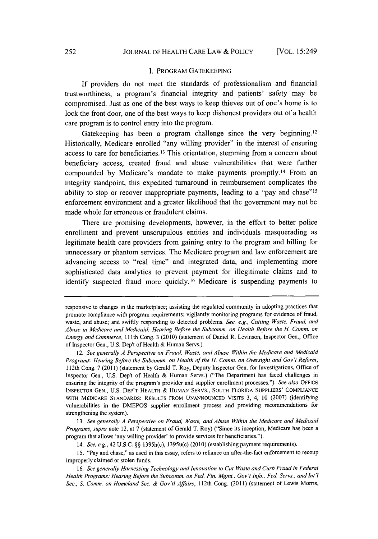#### **I.** PROGRAM **GATEKEEPING**

**If** providers do not meet the standards of professionalism and financial trustworthiness, a program's financial integrity and patients' safety may be compromised. Just as one of the best ways to keep thieves out of one's home is to lock the front door, one of the best ways to keep dishonest providers out of a health care program is to control entry into the program.

Gatekeeping has been a program challenge since the very beginning.<sup>12</sup> Historically, Medicare enrolled "any willing provider" in the interest of ensuring access to care for beneficiaries.13 This orientation, stemming from a concern about beneficiary access, created fraud and abuse vulnerabilities that were further compounded **by** Medicare's mandate to make payments promptly.14 From an integrity standpoint, this expedited turnaround in reimbursement complicates the ability to stop or recover inappropriate payments, leading to a "pay and chase"<sup>15</sup> enforcement environment and a greater likelihood that the government may not be made whole for erroneous or fraudulent claims.

There are promising developments, however, in the effort to better police enrollment and prevent unscrupulous entities and individuals masquerading as legitimate health care providers from gaining entry to the program and billing for unnecessary or phantom services. The Medicare program and law enforcement are advancing access to "real time" and integrated data, and implementing more sophisticated data analytics to prevent payment for illegitimate claims and to identify suspected fraud more quickly.16 Medicare is suspending payments to

*13. See generally A Perspective on Fraud, Waste, and Abuse Within the Medicare and Medicaid Programs, supra* note 12, at **7** (statement of Gerald T. Roy) ("Since its inception, Medicare has been a program that allows 'any willing provider' to provide services for beneficiaries.").

*14. See, e.g.,* 42 **U.S.C. §§** 1395h(c), 1395u(c) (2010) (establishing payment requirements).

**15.** "Pay and chase," as used in this essay, refers to reliance on after-the-fact enforcement to recoup improperly claimed or stolen funds.

*16. See generally Harnessing Technology and Innovation to Cut Waste and Curb Fraud in Federal Health Programs: Hearing Before the Subcomm. on Fed. Fin. Mgmt., Gov't Info., Fed. Servs., and Int l Sec., S. Comm. on Homeland Sec. & Gov't Affairs,* 12th Cong. (2011) (statement of Lewis Morris,

responsive to changes in the marketplace; assisting the regulated community in adopting practices that promote compliance with program requirements; vigilantly monitoring programs for evidence of fraud, waste, and abuse; and swiftly responding to detected problems. *See, e.g., Cutting Waste, Fraud, and Abuse in Medicare and Medicaid: Hearing Before the Subcomm. on Health Before the H. Comm. on Energy and Commerce,* 11Ith Cong. **3** (2010) (statement of Daniel R. Levinson, Inspector Gen., Office of Inspector Gen., **U.S.** Dep't of Health **&** Human Servs.).

*<sup>12.</sup> See generally A Perspective on Fraud, Waste, and Abuse Within the Medicare and Medicaid Programs: Hearing Before the Subcomm. on Health of the H. Comm. on Oversight and Gov't Reform,* 112th Cong. **7** (2011) (statement **by** Gerald T. Roy, Deputy Inspector Gen. for Investigations, Office of Inspector Gen., **U.S.** Dep't of Health **&** Human Servs.) ("The Department has faced challenges in ensuring the integrity of the program's provider and supplier enrollment processes."). *See also OFFICE* **INSPECTOR GEN., U.S.** DEP'T HEALTH **&** HUMAN SERVS., **SOUTH** FLORIDA **SUPPLIERS' COMPLIANCE** WITH **MEDICARE STANDARDS: RESULTS** FROM **UNANNOUNCED** VISITS **3,** 4, **10 (2007)** (identifying vulnerabilities in the **DMEPOS** supplier enrollment process and providing recommendations for strengthening the system).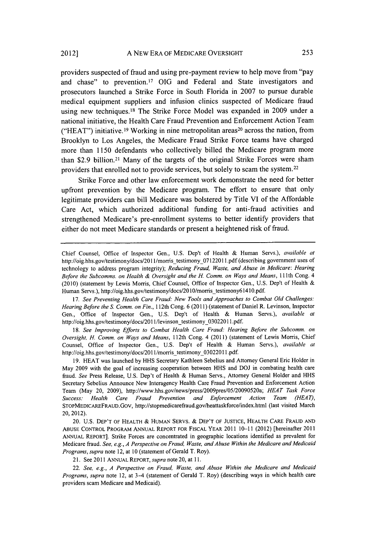providers suspected of fraud and using pre-payment review to help move from "pay and chase" to prevention.17 **OIG** and Federal and State investigators and prosecutors launched a Strike Force in South Florida in **2007** to pursue durable medical equipment suppliers and infusion clinics suspected of Medicare fraud using new techniques.<sup>18</sup> The Strike Force Model was expanded in 2009 under a national initiative, the Health Care Fraud Prevention and Enforcement Action Team ("HEAT") initiative.<sup>19</sup> Working in nine metropolitan areas<sup>20</sup> across the nation, from Brooklyn to Los Angeles, the Medicare Fraud Strike Force teams have charged more than **1150** defendants who collectively billed the Medicare program more than \$2.9 billion.<sup>21</sup> Many of the targets of the original Strike Forces were sham providers that enrolled not to provide services, but solely to scam the system. <sup>22</sup>

Strike Force and other law enforcement work demonstrate the need for better upfront prevention **by** the Medicare program. The effort to ensure that only legitimate providers can bill Medicare was bolstered **by** Title VI of the Affordable Care Act, which authorized additional funding for anti-fraud activities and strengthened Medicare's pre-enrollment systems to better identify providers that either do not meet Medicare standards or present a heightened risk of fraud.

*17. See Preventing Health Care Fraud: New Tools and Approaches to Combat Old Challenges: Hearing Before the S. Comm. on Fin.,* 112th Cong. **6** (2011) (statement of Daniel R. Levinson, Inspector Gen., Office of Inspector Gen., **U.S.** Dep't **of** Health **&** Human Servs.), *available at* http://oig.hhs.gov/testimony/docs/2011/levinson\_testimony\_03022011.pdf.

*18. See Improving Efforts to Combat Health Care Fraud: Hearing Before the Subcomm. on Oversight, H. Comm. on Ways and Means, 112th* Cong. 4 (2011) (statement of Lewis Morris, Chief Counsel, Office of Inspector Gen., **U.S.** Dep't of Health **&** Human Servs.), *available at* http://oig.hhs.gov/testimony/docs/201 1/morris testimony\_03022011 **.pdf.**

**19. HEAT** was launched **by HHS** Secretary Kathleen Sebelius and Attorney General Eric Holder in May **2009** with the goal of increasing cooperation between **HHS** and **DOJ** in combating health care fraud. *See* Press Release, **U.S.** Dep't of Health **&** Human Servs., Attorney General Holder and **HHS** Secretary Sebelius Announce New Interagency Health Care Fraud Prevention and Enforcement Action Team (May 20, **2009),** http://www.hhs.gov/news/press/2009pres/05/20090520a; *HEAT Task Force Success: Health Care Fraud Prevention and Enforcement Action Team (HEAT),* STOPMEDICAREFRAUD.Gov, http://stopmedicarefraud.gov/heattaskforce/index.html (last visited March 20, 2012).

20. **U.S.** DEP'T OF HEALTH **&** HUMAN SERVS. **& DEP'T** OF **JUSTICE,** HEALTH CARE **FRAUD AND ABUSE** CONTROL PROGRAM **ANNUAL** REPORT FOR FISCAL YEAR 2011 **10-11** (2012) [hereinafter 2011 **ANNUAL** REPORT]. Strike Forces are concentrated in geographic locations identified as prevalent for Medicare fraud. *See, e.g., A Perspective on Fraud, Waste, and Abuse Within the Medicare and Medicaid Programs, supra* note 12, at **10** (statement of Gerald T. Roy).

**21.** See 2011 **ANNUAL REPORT,** *supra* note 20, at **11.**

*22. See, e.g., A Perspective on Fraud, Waste, and Abuse Within the Medicare and Medicaid Programs, supra* note 12, at 3-4 (statement of Gerald T. Roy) (describing ways in which health care providers scam Medicare and Medicaid).

Chief Counsel, Office of Inspector Gen., **U.S.** Dep't of Health **&** Human Servs.), *available at* http://oig.hhs.gov/testimony/docs/20 11/morris testimony\_07122011 **.pdf** (describing government uses of technology to address program integrity); *Reducing Fraud, Waste, and Abuse in Medicare: Hearing Before the Subcomms. on Health & Oversight and the H. Comm. on Ways and Means,* 11Ith Cong. 4 (2010) (statement **by** Lewis Morris, Chief Counsel, Office of Inspector Gen., **U.S.** Dep't of Health **&** Human Servs.), http://oig.hhs.gov/testimony/docs/2010/morris\_testimony61410.pdf.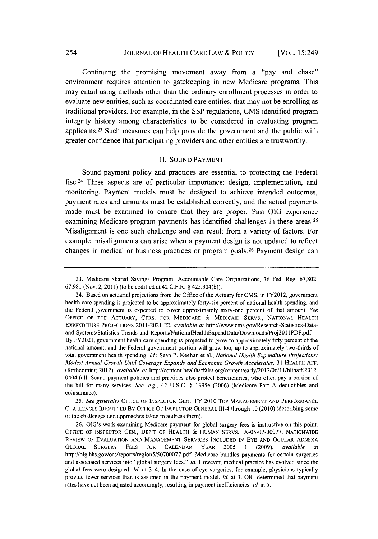#### **JOURNAL** OF HEALTH CARE LAW **&** POLICY 254 [VOL. 15:249

Continuing the promising movement away from a "pay and chase" environment requires attention to gatekeeping in new Medicare programs. This may entail using methods other than the ordinary enrollment processes in order to evaluate new entities, such as coordinated care entities, that may not be enrolling as traditional providers. For example, in the **SSP** regulations, **CMS** identified program integrity history among characteristics to be considered in evaluating program applicants. 23 Such measures can help provide the government and the public with greater confidence that participating providers and other entities are trustworthy.

#### **II. SOUND** PAYMENT

Sound payment policy and practices are essential to protecting the Federal fisc.24 Three aspects are of particular importance: design, implementation, and monitoring. Payment models must be designed to achieve intended outcomes, payment rates and amounts must be established correctly, and the actual payments made must be examined to ensure that they are proper. Past **OIG** experience examining Medicare program payments has identified challenges in these areas. <sup>25</sup> Misalignment is one such challenge and can result from a variety of factors. For example, misalignments can arise when a payment design is not updated to reflect changes in medical or business practices or program goals. 26 Payment design can

**<sup>23.</sup>** Medicare Shared Savings Program: Accountable Care Organizations, **76** Fed. Reg. **67,802, 67,981** (Nov. 2, **2011)** (to be codified at 42 C.F.R. **§** 425.304(b)).

<sup>24.</sup> Based on actuarial projections from the Office of the Actuary for **CMS,** in FY2012, government health care spending is projected to be approximately forty-six percent of national health spending, and the Federal government is expected to cover approximately sixty-one percent of that amount. *See* **OFFICE** OF THE ACTUARY, CTRS. FOR MEDICARE **& MEDICAID** SERVS., **NATIONAL** HEALTH EXPENDITURE PROJECTIONS 2011-2021 22, *available at* http://www.cms.gov/Research-Statistics-Dataand-Systems/Statistics-Trends-and-Reports/NationalHealthExpendData/Downloads/Proj201 **I PDF.pdf.**

**By** FY202 **1,** government health care spending is projected to grow to approximately **fifty** percent of the national amount, and the Federal government portion will grow too, up to approximately two-thirds of total government health spending. *Id;* Sean P. Keehan et al., *National Health Expenditure Projections: Modest Annual Growth Until Coverage Expands and Economic Growth Accelerates,* **31** HEALTH **AFF.** (forthcoming 2012), *available at* http://content.healthaffairs.org/contentlearly/2012/06/1l/hithaff.2012. 0404.full. Sound payment policies and practices also protect beneficiaries, who often pay a portion of the bill for many services. *See, e.g.,* 42 **U.S.C. §** 1395e **(2006)** (Medicare Part **A** deductibles and coinsurance).

*<sup>25.</sup> See generally* **OFFICE** OF **INSPECTOR GEN.,** FY 2010 TOP **MANAGEMENT AND** PERFORMANCE **CHALLENGES IDENTIFIED** BY **OFFICE** OF **INSPECTOR GENERAL** 111-4 through **10 (2010)** (describing some of the challenges and approaches taken to address them).

**<sup>26.</sup>** OIG's work examining Medicare payment for global surgery fees is instructive on this point. **OFFICE** OF **INSPECTOR GEN.,** DEP'T OF HEALTH **&** HUMAN SERVS., **A-05-07-00077, NATIONWIDE** REVIEW OF **EVALUATION AND MANAGEMENT SERVICES INCLUDED** IN EYE **AND OCULAR ADNEXA** GLOBAL SURGERY **FEES** FOR **CALENDAR** YEAR **2005 1 (2009),** *available at* http://oig.hhs.gov/oas/reports/region5/50700077.pdf. Medicare bundles payments for certain surgeries and associated services into "global surgery fees." *Id.* However, medical practice has evolved since the global fees were designed. *Id.* at 3-4. In the case of eye surgeries, for example, physicians typically provide fewer services than is assumed in the payment model. *Id.* at **3. OIG** determined that payment rates have not been adjusted accordingly, resulting in payment inefficiencies. *Id* at **5.**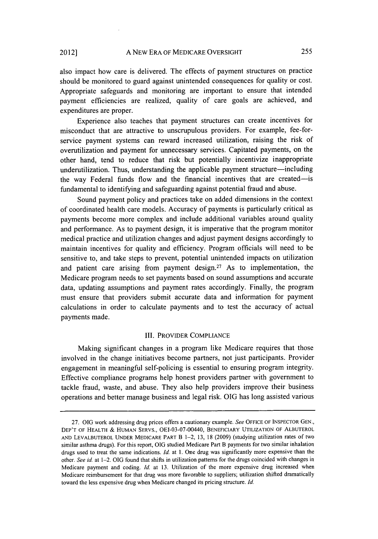also impact how care is delivered. The effects of payment structures on practice should be monitored to guard against unintended consequences for quality or cost. Appropriate safeguards and monitoring are important to ensure that intended payment efficiencies are realized, quality of care goals are achieved, and expenditures are proper.

Experience also teaches that payment structures can create incentives for misconduct that are attractive to unscrupulous providers. For example, fee-forservice payment systems can reward increased utilization, raising the risk of overutilization and payment for unnecessary services. Capitated payments, on the other hand, tend to reduce that risk but potentially incentivize inappropriate underutilization. Thus, understanding the applicable payment structure-including the way Federal funds flow and the financial incentives that are created-is fundamental to identifying and safeguarding against potential fraud and abuse.

Sound payment policy and practices take on added dimensions in the context of coordinated health care models. Accuracy of payments is particularly critical as payments become more complex and include additional variables around quality and performance. As to payment design, it is imperative that the program monitor medical practice and utilization changes and adjust payment designs accordingly to maintain incentives for quality and efficiency. Program officials will need to be sensitive to, and take steps to prevent, potential unintended impacts on utilization and patient care arising from payment design.<sup>27</sup> As to implementation, the Medicare program needs to set payments based on sound assumptions and accurate data, updating assumptions and payment rates accordingly. Finally, the program must ensure that providers submit accurate data and information for payment calculations in order to calculate payments and to test the accuracy of actual payments made.

#### III. **PROVIDER COMPLIANCE**

Making significant changes in a program like Medicare requires that those involved in the change initiatives become partners, not just participants. Provider engagement in meaningful self-policing is essential to ensuring program integrity. Effective compliance programs help honest providers partner with government to tackle fraud, waste, and abuse. They also help providers improve their business operations and better manage business and legal risk. **OIG** has long assisted various

**<sup>27.</sup> OIG** work addressing drug prices offers a cautionary example. *See* **OFFICE** OF **INSPECTOR GEN.,** DEP'T OF HEALTH **& HUMAN** SERVS., OEI-03-07-00440, BENEFICIARY **UTILIZATION** OF ALBUTEROL **AND** LEVALBUTEROL **UNDER** MEDICARE PART B 1-2, **13, 18 (2009)** (studying utilization rates of two similar asthma drugs). For this report, **OIG** studied Medicare Part B payments for two similar inhalation drugs used to treat the same indications. *Id.* at **1.** One drug was significantly more expensive than the other. *See id.* at 1-2. **OIG** found that shifts in utilization patterns for the drugs coincided with changes in Medicare payment and coding. *Id.* at **13.** Utilization of the more expensive drug increased when Medicare reimbursement for that drug was more favorable to suppliers; utilization shifted dramatically toward the less expensive drug when Medicare changed its pricing structure. *Id.*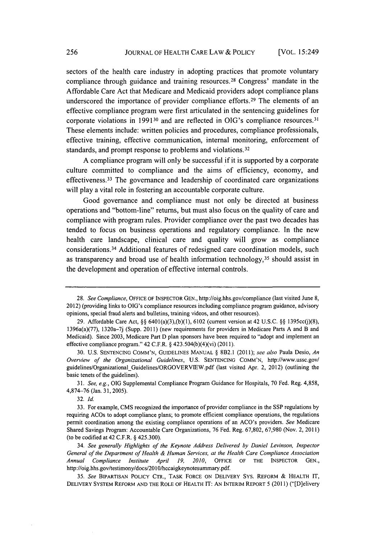sectors of the health care industry in adopting practices that promote voluntary compliance through guidance and training resources. 28 Congress' mandate in the Affordable Care Act that Medicare and Medicaid providers adopt compliance plans underscored the importance of provider compliance efforts.<sup>29</sup> The elements of an effective compliance program were first articulated in the sentencing guidelines for corporate violations in 1991<sup>30</sup> and are reflected in OIG's compliance resources.<sup>31</sup> These elements include: written policies and procedures, compliance professionals, effective training, effective communication, internal monitoring, enforcement of standards, and prompt response to problems and violations.<sup>32</sup>

**A** compliance program will only be successful if it is supported **by** a corporate culture committed to compliance and the aims of efficiency, economy, and effectiveness. 33 The governance and leadership of coordinated care organizations will play a vital role in fostering an accountable corporate culture.

Good governance and compliance must not only be directed at business operations and "bottom-line" returns, but must also focus on the quality of care and compliance with program rules. Provider compliance over the past two decades has tended to focus on business operations and regulatory compliance. In the new health care landscape, clinical care and quality will grow as compliance considerations. 34 Additional features of redesigned care coordination models, such as transparency and broad use of health information technology,35 should assist in the development and operation of effective internal controls.

*31. See, e.g.,* **OIG** Supplemental Compliance Program Guidance for Hospitals, **70** Fed. Reg. **4,858, 4,874-76** (Jan. **31, 2005).**

**32.** *Id.*

*34. See generally Highlights of the Keynote Address Delivered by Daniel Levinson, Inspector General of the Department of Health & Human Services, at the Health Care Compliance Association Annual Compliance Institute April 19, 2010,* **OFFICE** OF THE **INSPECTOR GEN.,** http://oig.hhs.gov/testimony/docs/201 0/hccaigkeynotesummary.pdf.

**<sup>28.</sup>** *See Compliance,* **OFFICE** OF INSPECTOR **GEN.,** http://oig.hhs.gov/compliance (last visited June **8,** 2012) (providing links to OIG's compliance resources including compliance program guidance, advisory opinions, special fraud alerts and bulletins, training videos, and other resources).

**<sup>29.</sup>** Affordable Care Act, **§§** 6401(a)(3),(b)(1), **6102** (current version at 42 **U.S.C. §§** 1395cc(j)(8), 1396a(a)(77), **1320a-7j** (Supp. **2011)** (new requirements for providers in Medicare Parts **A** and B and Medicaid). Since **2003,** Medicare Part **D** plan sponsors have been required to "adopt and implement an effective compliance program." 42 C.F.R. **§** 423.504(b)(4)(vi) **(2011).**

**<sup>30.</sup> U.S. SENTENCING COMM'N,** GUIDELINES **MANUAL §** 8B2.1 *(2011); see also* Paula Desio, *An Overview of the Organizational Guidelines,* **U.S. SENTENCING COMM'N,** http://www.ussc.gov/ guidelines/Organizational\_Guidelines/ORGOVERVIEW.pdf (last visited Apr. 2, 2012) (outlining the basic tenets of the guidelines).

**<sup>33.</sup>** For example, **CMS** recognized the importance of provider compliance in the **SSP** regulations **by** requiring ACOs to adopt compliance plans; to promote efficient compliance operations, the regulations permit coordination among the existing compliance operations of an ACO's providers. *See* Medicare Shared Savings Program: Accountable Care Organizations, **76** Fed. Reg. **67,802, 67,980** (Nov. 2, **2011)** (to be codified at 42 C.F.R. **§** 425.300).

*<sup>35.</sup> See* BIPARTISAN POLICY CTR., TASK FORCE **ON** DELIVERY Sys. REFORM **&** HEALTH IT, DELIVERY SYSTEM REFORM **AND** THE ROLE OF HEALTH IT: **AN** INTERIM REPORT **5** (2011) ("[D]elivery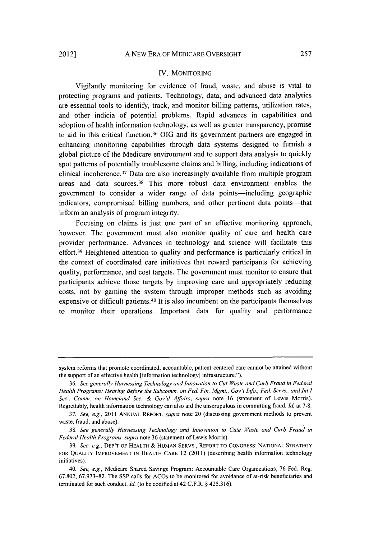#### IV. **MONITORING**

Vigilantly monitoring for evidence of fraud, waste, and abuse is vital to protecting programs and patients. Technology, data, and advanced data analytics are essential tools to identify, track, and monitor billing patterns, utilization rates, and other indicia of potential problems. Rapid advances in capabilities and adoption of health information technology, as well as greater transparency, promise to aid in this critical function. <sup>36</sup>**OIG** and its government partners are engaged in enhancing monitoring capabilities through data systems designed to furnish a global picture of the Medicare environment and to support data analysis to quickly spot patterns of potentially troublesome claims and billing, including indications of clinical incoherence.37 Data are also increasingly available from multiple program areas and data sources.38 This more robust data environment enables the government to consider a wider range of data points-including geographic indicators, compromised billing numbers, and other pertinent data points—that inform an analysis of program integrity.

Focusing on claims is just one part of an effective monitoring approach, however. The government must also monitor quality of care and health care provider performance. Advances in technology and science will facilitate this effort.39 Heightened attention to quality and performance is particularly critical in the context of coordinated care initiatives that reward participants for achieving quality, performance, and cost targets. The government must monitor to ensure that participants achieve those targets **by** improving care and appropriately reducing costs, not **by** gaming the system through improper methods such as avoiding expensive or difficult patients. 40 It is also incumbent on the participants themselves to monitor their operations. Important data for quality and performance

system reforms that promote coordinated, accountable, patient-centered care cannot be attained without the support of an effective health [information technology] infrastructure.").

**<sup>36.</sup>** *See generally Harnessing Technology and Innovation to Cut Waste and Curb Fraud in Federal Health Programs: Hearing Befbre the Subcomm. on Fed. Fin. Mgmt., Gov t Info., Fed Servs., and Int'1 Sec., Comm. on Homeland Sec. & Gov 't AJJirs, supra* note **16** (statement of Lewis Morris). Regrettably, health information technology can also aid the unscrupulous in committing fraud. *Id.* at **7-8.**

**<sup>37.</sup>** *See, e.g.,* 2011 **ANNUAL** REPORT, *supra* note 20 (discussing government methods to prevent waste, fraud, and abuse).

**<sup>38.</sup>** *See generally Harnessing Technology and Innovation to Cute Waste and Curb Fraud in Federal Health Programs, supra* note **36** (statement of Lewis Morris).

*<sup>39.</sup> See, e.g.,* DEP'T OF HEALTH **&** HUMAN SERVS., REPORT TO CONGRESS: **NATIONAL** STRATEGY FOR **QUALITY** IMPROVEMENT **IN** HEALTH CARE 12 (2011) (describing health information technology initiatives).

*<sup>40.</sup> See, e.g.,* Medicare Shared Savings Program: Accountable Care Organizations, **76** Fed. Reg. **67,802, 67,973-82.** The **SSP** calls for ACOs to be monitored for avoidance of at-risk beneficiaries and terminated for such conduct. *Id.* (to be codified at 42 C.F.R. **§ 425.316).**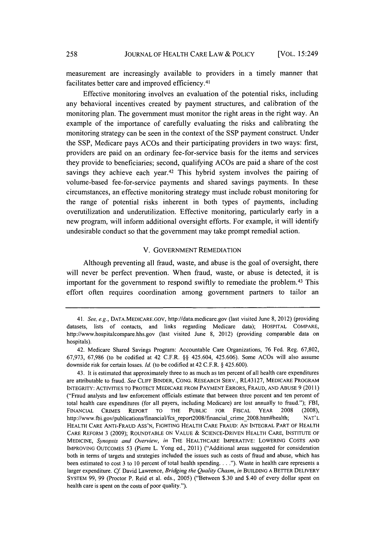measurement are increasingly available to providers in a timely manner that facilitates better care and improved efficiency.<sup>41</sup>

Effective monitoring involves an evaluation of the potential risks, including any behavioral incentives created **by** payment structures, and calibration of the monitoring plan. The government must monitor the right areas in the right way. An example of the importance of carefully evaluating the risks and calibrating the monitoring strategy can be seen in the context of the **SSP** payment construct. Under the **SSP,** Medicare pays ACOs and their participating providers in two ways: first, providers are paid on an ordinary fee-for-service basis for the items and services they provide to beneficiaries; second, qualifying ACOs are paid a share of the cost savings they achieve each year.<sup>42</sup> This hybrid system involves the pairing of volume-based fee-for-service payments and shared savings payments. In these circumstances, an effective monitoring strategy must include robust monitoring for the range of potential risks inherent in both types of payments, including overutilization and underutilization. Effective monitoring, particularly early in a new program, will inform additional oversight efforts. For example, it will identify undesirable conduct so that the government may take prompt remedial action.

#### V. **GOVERNMENT** REMEDIATION

Although preventing all fraud, waste, and abuse is the goal of oversight, there will never be perfect prevention. When fraud, waste, or abuse is detected, it is important for the government to respond swiftly to remediate the problem. 43 This effort often requires coordination among government partners to tailor an

*<sup>41.</sup> See, e.g.,* DATA.MEDICARE.GOV, http://data.medicare.gov (last visited June **8,** 2012) (providing datasets, lists of contacts, and links regarding Medicare data); HOSPITAL COMPARE, http://www.hospitalcompare.hhs.gov (last visited June **8,** 2012) (providing comparable data on hospitals).

<sup>42.</sup> Medicare Shared Savings Program: Accountable Care Organizations, **76 Fed.** Reg. **67,802, 67,973, 67,986** (to be codified at 42 C.F.R. **§§** 425.604, **425.606).** Some ACOs will also assume downside risk for certain losses. *Id.* (to be codified at 42 C.F.R. **§** 425.600).

<sup>43.</sup> It is estimated that approximately three to as much as ten percent of all health care expenditures are attributable to fraud. *See* **CLIFF** BINDER, **CONG.** RESEARCH SERV., RL43127, MEDICARE **PROGRAM** INTEGRITY: **ACTIVITIES** TO PROTECT MEDICARE FROM PAYMENT ERRORS, **FRAUD, AND ABUSE 9** (2011) ("Fraud analysts and law enforcement officials estimate that between three percent and ten percent of total health care expenditures (for all payers, including Medicare) are lost annually to fraud."); FBI, **FINANCIAL** CRIMES REPORT TO THE **PUBLIC** FOR FISCAL YEAR **2008 (2008),** http://www.fbi.gov/publications/financial/fcs\_report2008/financial crime 2008.htm#health; **NAT'** L HEALTH **CARE** ANTI-FRAUD **ASS'N, FIGHTING** HEALTH **CARE FRAUD: AN INTEGRAL** PART OF HEALTH CARE REFORM **3 (2009); ROUNDTABLE ON VALUE & SCIENCE-DRIVEN** HEALTH CARE, **INSTITUTE** OF **MEDICINE,** *Synopsis and Overview, in* **THE HEALTHCARE IMPERATIVE: LOWERING COSTS AND** IMPROVING OUTCOMES **53** (Pierre L. Yong ed., 2011) ("Additional areas suggested for consideration both in terms of targets and strategies included the issues such as costs of fraud and abuse, which has been estimated to cost **3** to **10** percent of total health spending. **. . .").** Waste in health care represents a larger expenditure. **Cf** David Lawrence, *Bridging the Quality Chasm, in* **BUILDING A BETTER DELIVERY SYSTEM 99, 99** (Proctor P. Reid et al. eds., **2005)** ("Between **\$.30** and \$.40 of every dollar **spent on** health care is spent on **the costs** of poor quality.").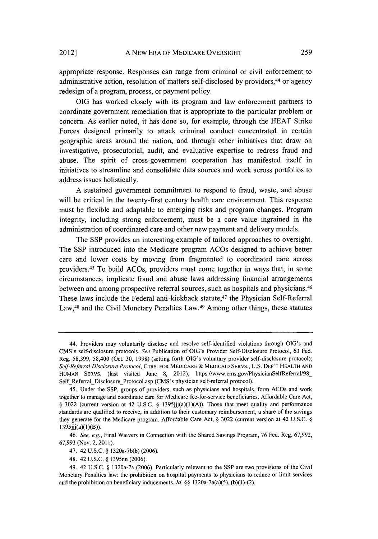appropriate response. Responses can range from criminal or civil enforcement to administrative action, resolution of matters self-disclosed **by** providers, 44 or agency redesign of a program, process, or payment policy.

**OIG** has worked closely with its program and law enforcement partners to coordinate government remediation that is appropriate to the particular problem or concern. As earlier noted, it has done so, for example, through the **HEAT** Strike Forces designed primarily to attack criminal conduct concentrated in certain geographic areas around the nation, and through other initiatives that draw on investigative, prosecutorial, audit, and evaluative expertise to redress fraud and abuse. The spirit of cross-government cooperation has manifested itself in initiatives to streamline and consolidate data sources and work across portfolios to address issues holistically.

**A** sustained government commitment to respond to fraud, waste, and abuse will be critical in the twenty-first century health care environment. This response must be flexible and adaptable to emerging risks and program changes. Program integrity, including strong enforcement, must be a core value ingrained in the administration of coordinated care and other new payment and delivery models.

The **SSP** provides an interesting example of tailored approaches to oversight. The **SSP** introduced into the Medicare program ACOs designed to achieve better care and lower costs **by** moving from fragmented to coordinated care across providers.45 To build ACOs, providers must come together in ways that, in some circumstances, implicate fraud and abuse laws addressing financial arrangements between and among prospective referral sources, such as hospitals and physicians. <sup>46</sup> These laws include the Federal anti-kickback statute,47 the Physician Self-Referral Law, 48 and the Civil Monetary Penalties Law.49 Among other things, these statutes

<sup>44.</sup> Providers may voluntarily disclose and resolve self-identified violations through OIG's and CMS's self-disclosure protocols. *See* Publication of OIG's Provider Self-Disclosure Protocol, **63** Fed. Reg. **58,399,** 58,400 (Oct. **30, 1998)** (setting forth OIG's voluntary provider self-disclosure protocol); *Self-Referral Disclosure Protocol,* CTRS. FOR MEDICARE **& MEDICAID** SERVS., **U.S.** DEP'T **HEALTH AND HUMAN** SERVS. (last visited June **8,** 2012), https://www.cms.gov/PhysicianSelfReferral/98\_ Self\_Referral\_Disclosure\_Protocol.asp (CMS's physician self-referral protocol).

<sup>45.</sup> Under the **SSP,** groups of providers, such as physicians and hospitals, form ACOs and work together to manage and coordinate care for Medicare fee-for-service beneficiaries. Affordable Care Act, **§ 3022** (current version at 42 **U.S.C. § 1395jjj(a)(1)(A)).** Those that meet quality and performance standards are qualified to receive, in addition to their customary reimbursement, a share of the savings they generate for the Medicare program. Affordable Care Act, **§ 3022** (current version at 42 **U.S.C. §** 1395jjj(a)(1)(B)).

*<sup>46.</sup> See, e.g.,* Final Waivers in Connection with the Shared Savings Program, **76** Fed. Reg. **67,992, 67,993** (Nov. 2, **2011).**

<sup>47. 42</sup> **U.S.C. §** 1320a-7b(b) **(2006).**

<sup>48. 42</sup> **U.S.C. §** 1395nn **(2006).**

<sup>49. 42</sup> **U.S.C. §** 1320a-7a **(2006).** Particularly relevant to the **SSP** are two provisions of the Civil Monetary Penalties law: the prohibition on hospital payments to physicians to reduce or limit services and the prohibition on beneficiary inducements. *Id.* **§§** 1320a-7a(a)(5), **(b)(1)-(2).**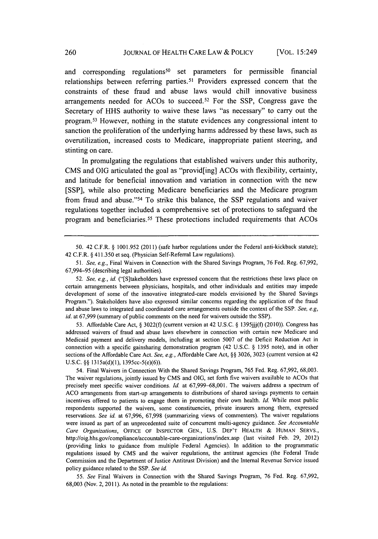and corresponding regulations<sup>50</sup> set parameters for permissible financial relationships between referring parties.5' Providers expressed concern that the constraints of these fraud and abuse laws would chill innovative business arrangements needed for ACOs to succeed. 52 For the **SSP,** Congress gave the Secretary of **HHS** authority to waive these laws "as necessary" to carry out the program. 53 However, nothing in the statute evidences any congressional intent to sanction the proliferation of the underlying harms addressed **by** these laws, such as overutilization, increased costs to Medicare, inappropriate patient steering, and stinting on care.

In promulgating the regulations that established waivers under this authority, **CMS** and **OIG** articulated the goal as "provid[ing] ACOs with flexibility, certainty, and latitude for beneficial innovation and variation in connection with the new **[SSP],** while also protecting Medicare beneficiaries and the Medicare program from fraud and abuse." 54 To strike this balance, the **SSP** regulations and waiver regulations together included a comprehensive set of protections to safeguard the program and beneficiaries.55 These protections included requirements that ACOs

**53.** Affordable Care Act, **§ 3022(f)** (current version at 42 **U.S.C. § 1395jjj(f)** (2010)). Congress has addressed waivers of fraud and abuse laws elsewhere in connection with certain new Medicare and Medicaid payment and delivery models, including at section **5007** of the Deficit Reduction Act in connection with a specific gainsharing demonstration program (42 **U.S.C. § 1395** note), and in other sections of the Affordable Care Act. *See, e.g.,* Affordable Care Act, **§§ 3026, 3023** (current version at 42 **U.S.C. §§** 1315a(d)(1), 1395cc-5(e)(6)).

54. Final Waivers in Connection With the Shared Savings Program, **765** Fed. Reg. **67,992, 68,003.** The waiver regulations, jointly issued **by CMS** and **OIG,** set forth five waivers available to ACOs that precisely meet specific waiver conditions. *Id.* at **67,999-68,001.** The waivers address a spectrum of **ACO** arrangements from start-up arrangements to distributions of shared savings payments to certain incentives offered to patients to engage them in promoting their own health. *Id.* While most public respondents supported the waivers, some constituencies, private insurers among them, expressed reservations. *See id* at **67,996, 67,998** (summarizing views of commenters). The waiver regulations were issued as part of an unprecedented suite of concurrent multi-agency guidance. *See Accountable Care Organizations, OFFICE* OF **INSPECTOR GEN., U.S.** DEP'T HEALTH **& HUMAN** SERVS., http://oig.hhs.gov/compliance/accountable-care-organizations/index.asp (last visited Feb. **29,** 2012) (providing links to guidance from multiple Federal Agencies). In addition to the programmatic regulations issued **by CMS** and the waiver regulations, the antitrust agencies (the Federal Trade Commission and the Department of Justice Antitrust Division) and the Internal Revenue Service issued policy guidance related to the **SSP.** *See id.*

*55. See* Final Waivers in Connection with the Shared Savings Program, **76** Fed. Reg. **67,992, 68,003** (Nov. 2, **2011).** As noted in the preamble to the regulations:

**<sup>50.</sup>** 42 C.F.R. **§ 1001.952** (2011) (safe harbor regulations under the Federal anti-kickback statute); 42 C.F.R. **§** 411.350 et seq. (Physician Self-Referral Law regulations).

*<sup>51.</sup> See, e.g.,* Final Waivers in Connection with the Shared Savings Program, **76** Fed. Reg. **67,992, 67,994-95** (describing legal authorities).

*<sup>52.</sup> See, e.g., id.* ("[S]takeholders have expressed concern that the restrictions these laws place on certain arrangements between physicians, hospitals, and other individuals and entities may impede development of some of the innovative integrated-care models envisioned **by** the Shared Savings Program."). Stakeholders have also expressed similar concerns regarding the application of the fraud and abuse laws to integrated and coordinated care arrangements outside the context of the **SSP.** *See, e.g, id.* at **67,999** (summary of public comments on the need for waivers outside the **SSP).**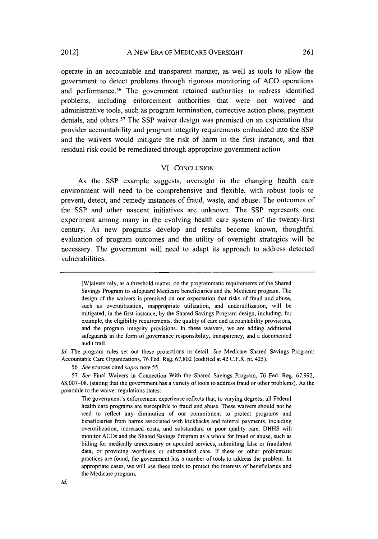#### **A** NEW ERA OF MEDICARE OVERSIGHT 2012] **261**

operate in an accountable and transparent manner, as well as tools to allow the government to detect problems through rigorous monitoring of **ACO** operations and performance.<sup>56</sup> The government retained authorities to redress identified problems, including enforcement authorities that were not waived and administrative tools, such as program termination, corrective action plans, payment denials, and others.57 The **SSP** waiver design was premised on an expectation that provider accountability and program integrity requirements embedded into the **SSP** and the waivers would mitigate the risk of harm in the first instance, and that residual risk could **be** remediated through appropriate government action.

#### VI. **CONCLUSION**

As the **SSP** example suggests, oversight in the changing health care environment will need to be comprehensive and flexible, with robust tools to prevent, detect, and remedy instances of fraud, waste, and abuse. The outcomes of the **SSP** and other nascent initiatives are unknown. The **SSP** represents one experiment among many in the evolving health care system of the twenty-first century. As new programs develop and results become known, thoughtful evaluation of program outcomes and the utility of oversight strategies will be necessary. The government will need to adapt its approach to address detected vulnerabilities.

[W]aivers rely, as a threshold matter, on the programmatic requirements of the Shared Savings Program to safeguard Medicare beneficiaries and the Medicare program. The design of the waivers is premised on our expectation that risks of fraud and abuse, such as overutilization, inappropriate utilization, and underutilization, will **be** mitigated, in the first instance, **by** the Shared Savings Program design, including, for example, the eligibility requirements, the quality of care and accountability provisions, and the program integrity provisions. In these waivers, we are adding additional safeguards in the form of governance responsibility, transparency, and a documented audit trail.

*Id.* The program rules set out these protections in detail. *See* Medicare Shared Savings Program: Accountable Care Organizations, **76** Fed. Reg. **67,802** (codified at 42 C.F.R. pt. 425).

*56. See* sources cited *supra* note *55.*

*57. See* Final Waivers in Connection With the Shared Savings Program, **76** Fed. Reg. **67,992, 68,007-08.** (stating that the government has a variety of tools to address fraud or other problems). As the preamble to the waiver regulations states:

The government's enforcement experience reflects that, to varying degrees, all Federal health care programs are susceptible to fraud and abuse. These waivers should not be read to reflect any diminution of our commitment to protect programs and beneficiaries from harms associated with kickbacks and referral payments, including overutilization, increased costs, and substandard or poor quality care. **DHHS** will monitor ACOs and the Shared Savings Program as a whole for fraud or abuse, such as billing for medically unnecessary or upcoded services, submitting false or fraudulent data, or providing worthless or substandard care. If these or other problematic practices are found, the government has a number of tools to address the problem. In appropriate cases, we will use these tools to protect the interests of beneficiaries and the Medicare program.